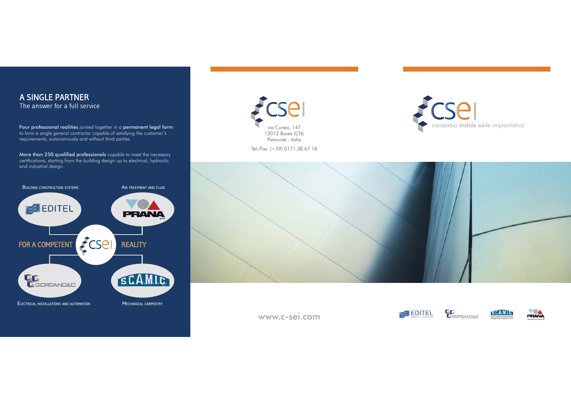

www.c-sei.com

**LE**<br>CEIDRDAND&C **EXPLOITEL** 

PRANA

**SCAMIC**